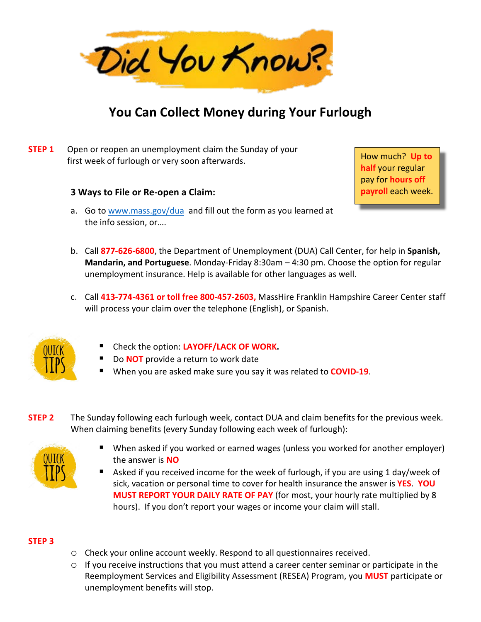

# **You Can Collect Money during Your Furlough**

### **STEP 1** Open or reopen an unemployment claim the Sunday of your first week of furlough or very soon afterwards.

#### **3 Ways to File or Re-open a Claim:**

How much? **Up to half** your regular pay for **hours off payroll** each week.

- a. Go t[o www.mass.gov/dua](http://www.mass.gov/dua) and fill out the form as you learned at the info session, or….
- b. Call **877-626-6800**, the Department of Unemployment (DUA) Call Center, for help in **Spanish, Mandarin, and Portuguese**. Monday-Friday 8:30am – 4:30 pm. Choose the option for regular unemployment insurance. Help is available for other languages as well.
- c. Call **413-774-4361 or toll free 800-457-2603,** MassHire Franklin Hampshire Career Center staff will process your claim over the telephone (English), or Spanish.



- Check the option: **LAYOFF/LACK OF WORK.**
- Do **NOT** provide a return to work date
- When you are asked make sure you say it was related to **COVID-19**.
- **STEP 2** The Sunday following each furlough week, contact DUA and claim benefits for the previous week. When claiming benefits (every Sunday following each week of furlough):



- When asked if you worked or earned wages (unless you worked for another employer) the answer is **NO**
- Asked if you received income for the week of furlough, if you are using 1 day/week of sick, vacation or personal time to cover for health insurance the answer is **YES**. **YOU MUST REPORT YOUR DAILY RATE OF PAY** (for most, your hourly rate multiplied by 8 hours). If you don't report your wages or income your claim will stall.

### **STEP 3**

- o Check your online account weekly. Respond to all questionnaires received.
- $\circ$  If you receive instructions that you must attend a career center seminar or participate in the Reemployment Services and Eligibility Assessment (RESEA) Program, you **MUST** participate or unemployment benefits will stop.